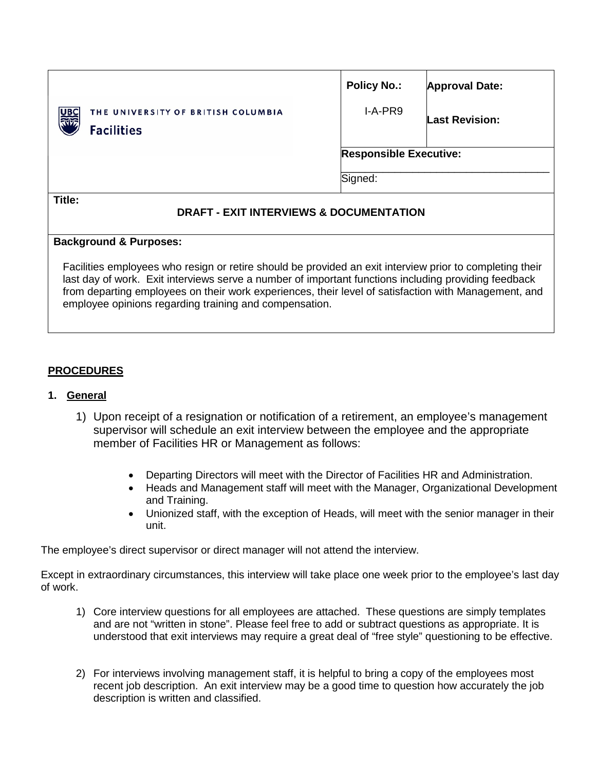|                                                              | <b>Policy No.:</b>            | <b>Approval Date:</b> |
|--------------------------------------------------------------|-------------------------------|-----------------------|
| 圖<br>THE UNIVERSITY OF BRITISH COLUMBIA<br><b>Facilities</b> | I-A-PR9                       | <b>Last Revision:</b> |
|                                                              | <b>Responsible Executive:</b> |                       |
|                                                              | Signed:                       |                       |
| Title:<br>FVIT INTERVIEWA A RAAUMENTATIAN<br>                |                               |                       |

## **DRAFT - EXIT INTERVIEWS & DOCUMENTATION**

## **Background & Purposes:**

Facilities employees who resign or retire should be provided an exit interview prior to completing their last day of work. Exit interviews serve a number of important functions including providing feedback from departing employees on their work experiences, their level of satisfaction with Management, and employee opinions regarding training and compensation.

## **PROCEDURES**

## **1. General**

- 1) Upon receipt of a resignation or notification of a retirement, an employee's management supervisor will schedule an exit interview between the employee and the appropriate member of Facilities HR or Management as follows:
	- Departing Directors will meet with the Director of Facilities HR and Administration.
	- Heads and Management staff will meet with the Manager, Organizational Development and Training.
	- Unionized staff, with the exception of Heads, will meet with the senior manager in their unit.

The employee's direct supervisor or direct manager will not attend the interview.

Except in extraordinary circumstances, this interview will take place one week prior to the employee's last day of work.

- 1) Core interview questions for all employees are attached. These questions are simply templates and are not "written in stone". Please feel free to add or subtract questions as appropriate. It is understood that exit interviews may require a great deal of "free style" questioning to be effective.
- 2) For interviews involving management staff, it is helpful to bring a copy of the employees most recent job description. An exit interview may be a good time to question how accurately the job description is written and classified.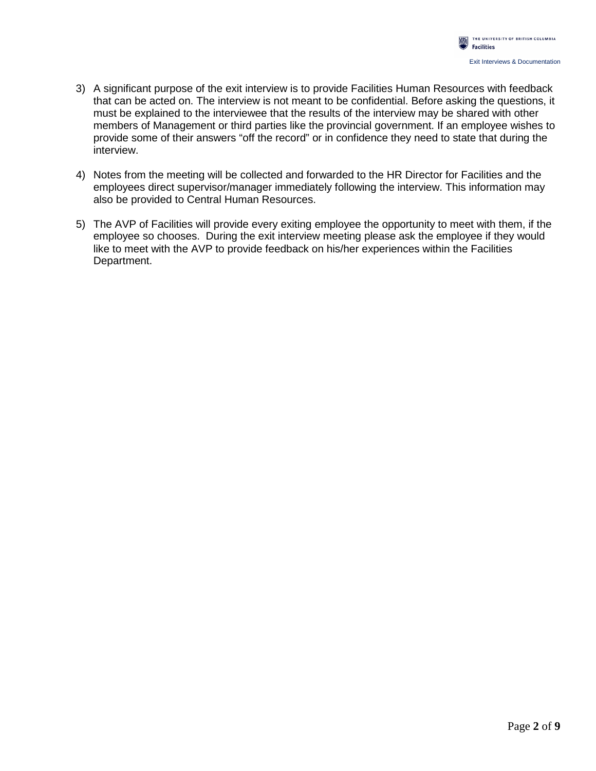- 3) A significant purpose of the exit interview is to provide Facilities Human Resources with feedback that can be acted on. The interview is not meant to be confidential. Before asking the questions, it must be explained to the interviewee that the results of the interview may be shared with other members of Management or third parties like the provincial government. If an employee wishes to provide some of their answers "off the record" or in confidence they need to state that during the interview.
- 4) Notes from the meeting will be collected and forwarded to the HR Director for Facilities and the employees direct supervisor/manager immediately following the interview. This information may also be provided to Central Human Resources.
- 5) The AVP of Facilities will provide every exiting employee the opportunity to meet with them, if the employee so chooses. During the exit interview meeting please ask the employee if they would like to meet with the AVP to provide feedback on his/her experiences within the Facilities Department.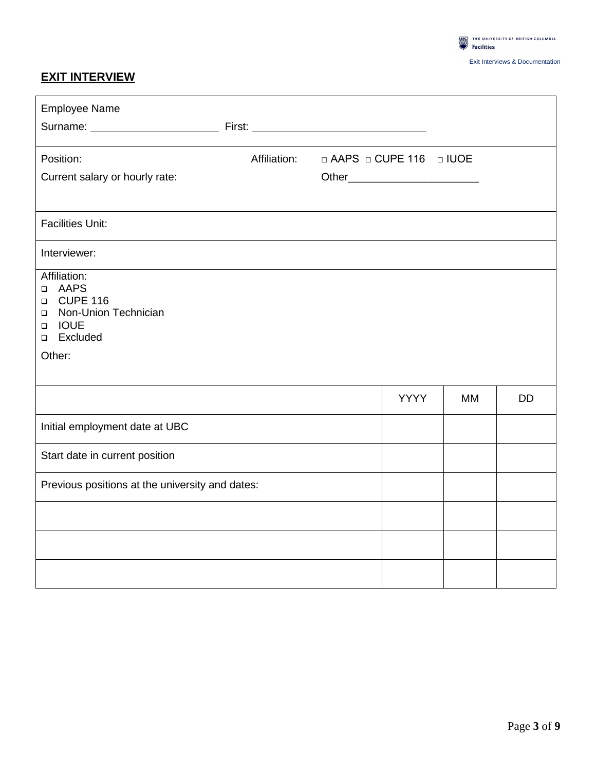

## **EXIT INTERVIEW**

| <b>Employee Name</b>                                                                                                                                   |              |                          |             |           |           |
|--------------------------------------------------------------------------------------------------------------------------------------------------------|--------------|--------------------------|-------------|-----------|-----------|
|                                                                                                                                                        |              |                          |             |           |           |
| Position:                                                                                                                                              | Affiliation: | □ AAPS □ CUPE 116 □ IUOE |             |           |           |
| Current salary or hourly rate:                                                                                                                         |              |                          |             |           |           |
|                                                                                                                                                        |              |                          |             |           |           |
| <b>Facilities Unit:</b>                                                                                                                                |              |                          |             |           |           |
| Interviewer:                                                                                                                                           |              |                          |             |           |           |
| Affiliation:<br>AAPS<br>$\Box$<br><b>CUPE 116</b><br>$\Box$<br>Non-Union Technician<br>$\Box$<br><b>IOUE</b><br>$\Box$<br>Excluded<br>$\Box$<br>Other: |              |                          |             |           |           |
|                                                                                                                                                        |              |                          | <b>YYYY</b> | <b>MM</b> | <b>DD</b> |
| Initial employment date at UBC                                                                                                                         |              |                          |             |           |           |
| Start date in current position                                                                                                                         |              |                          |             |           |           |
| Previous positions at the university and dates:                                                                                                        |              |                          |             |           |           |
|                                                                                                                                                        |              |                          |             |           |           |
|                                                                                                                                                        |              |                          |             |           |           |
|                                                                                                                                                        |              |                          |             |           |           |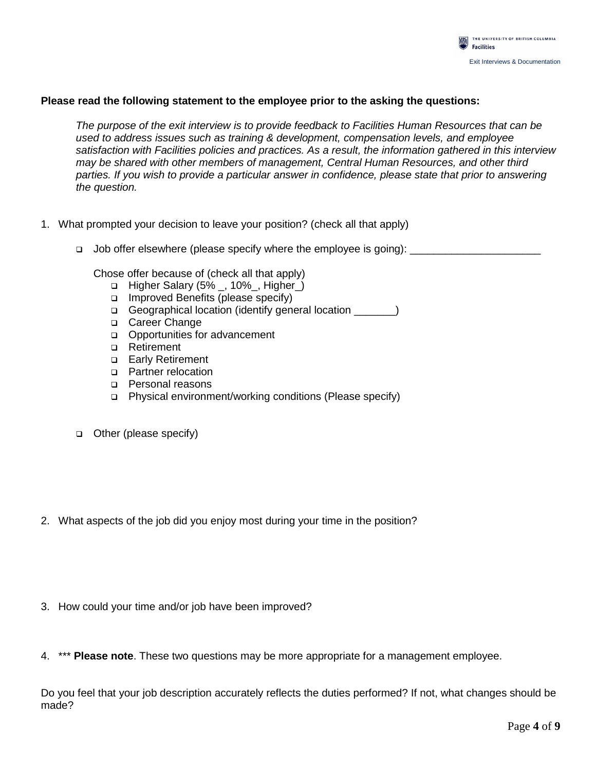

#### **Please read the following statement to the employee prior to the asking the questions:**

*The purpose of the exit interview is to provide feedback to Facilities Human Resources that can be used to address issues such as training & development, compensation levels, and employee satisfaction with Facilities policies and practices. As a result, the information gathered in this interview may be shared with other members of management, Central Human Resources, and other third parties. If you wish to provide a particular answer in confidence, please state that prior to answering the question.* 

- 1. What prompted your decision to leave your position? (check all that apply)
	- Job offer elsewhere (please specify where the employee is going):

Chose offer because of (check all that apply)

- □ Higher Salary (5% \_, 10% \_, Higher\_)
- $\Box$  Improved Benefits (please specify)
- Geographical location (identify general location \_\_\_\_\_\_\_)
- □ Career Change
- Opportunities for advancement
- □ Retirement
- **Early Retirement**
- D Partner relocation
- **Personal reasons**
- Physical environment/working conditions (Please specify)
- Other (please specify)
- 2. What aspects of the job did you enjoy most during your time in the position?
- 3. How could your time and/or job have been improved?
- 4. \*\*\* **Please note**. These two questions may be more appropriate for a management employee.

Do you feel that your job description accurately reflects the duties performed? If not, what changes should be made?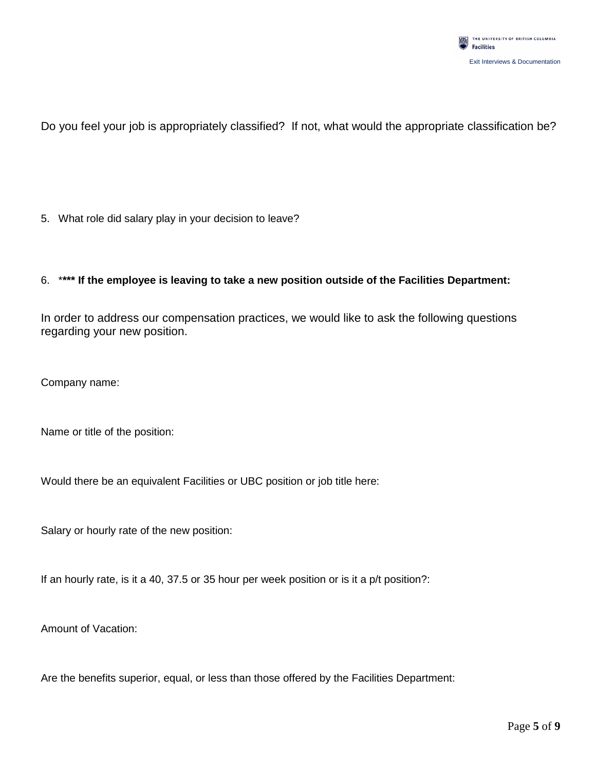

Do you feel your job is appropriately classified? If not, what would the appropriate classification be?

5. What role did salary play in your decision to leave?

#### 6. \***\*\*\* If the employee is leaving to take a new position outside of the Facilities Department:**

In order to address our compensation practices, we would like to ask the following questions regarding your new position.

Company name:

Name or title of the position:

Would there be an equivalent Facilities or UBC position or job title here:

Salary or hourly rate of the new position:

If an hourly rate, is it a 40, 37.5 or 35 hour per week position or is it a p/t position?:

Amount of Vacation:

Are the benefits superior, equal, or less than those offered by the Facilities Department: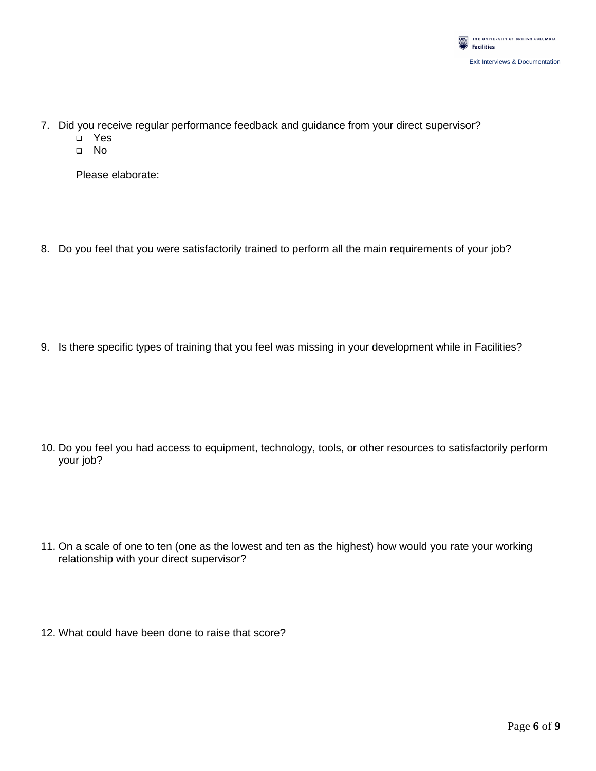

- 7. Did you receive regular performance feedback and guidance from your direct supervisor?
	- Yes
	- No

Please elaborate:

8. Do you feel that you were satisfactorily trained to perform all the main requirements of your job?

9. Is there specific types of training that you feel was missing in your development while in Facilities?

- 10. Do you feel you had access to equipment, technology, tools, or other resources to satisfactorily perform your job?
- 11. On a scale of one to ten (one as the lowest and ten as the highest) how would you rate your working relationship with your direct supervisor?
- 12. What could have been done to raise that score?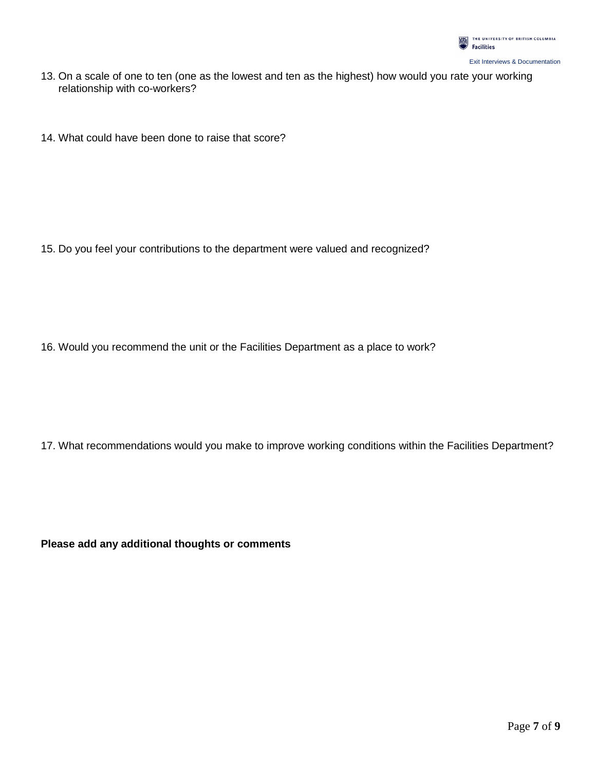

- 13. On a scale of one to ten (one as the lowest and ten as the highest) how would you rate your working relationship with co-workers?
- 14. What could have been done to raise that score?

15. Do you feel your contributions to the department were valued and recognized?

16. Would you recommend the unit or the Facilities Department as a place to work?

17. What recommendations would you make to improve working conditions within the Facilities Department?

**Please add any additional thoughts or comments**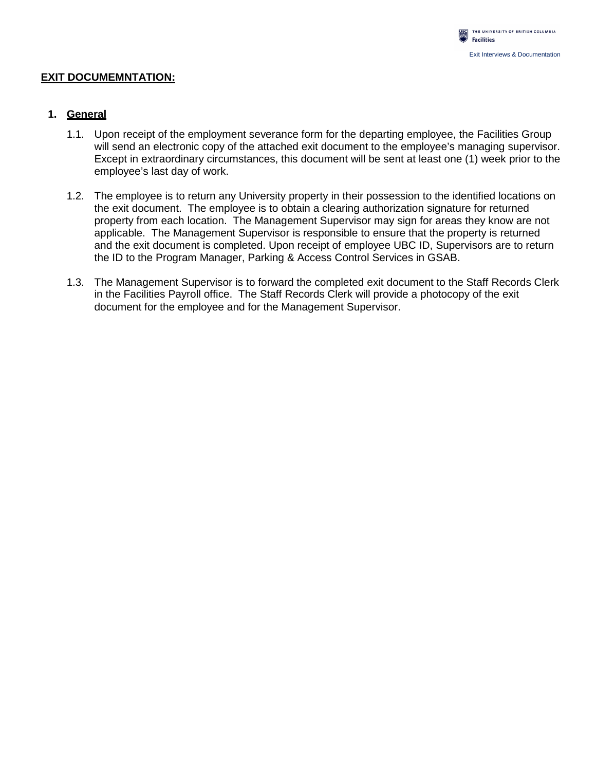#### **EXIT DOCUMEMNTATION:**

## **1. General**

- 1.1. Upon receipt of the employment severance form for the departing employee, the Facilities Group will send an electronic copy of the attached exit document to the employee's managing supervisor. Except in extraordinary circumstances, this document will be sent at least one (1) week prior to the employee's last day of work.
- 1.2. The employee is to return any University property in their possession to the identified locations on the exit document. The employee is to obtain a clearing authorization signature for returned property from each location. The Management Supervisor may sign for areas they know are not applicable. The Management Supervisor is responsible to ensure that the property is returned and the exit document is completed. Upon receipt of employee UBC ID, Supervisors are to return the ID to the Program Manager, Parking & Access Control Services in GSAB.
- 1.3. The Management Supervisor is to forward the completed exit document to the Staff Records Clerk in the Facilities Payroll office. The Staff Records Clerk will provide a photocopy of the exit document for the employee and for the Management Supervisor.